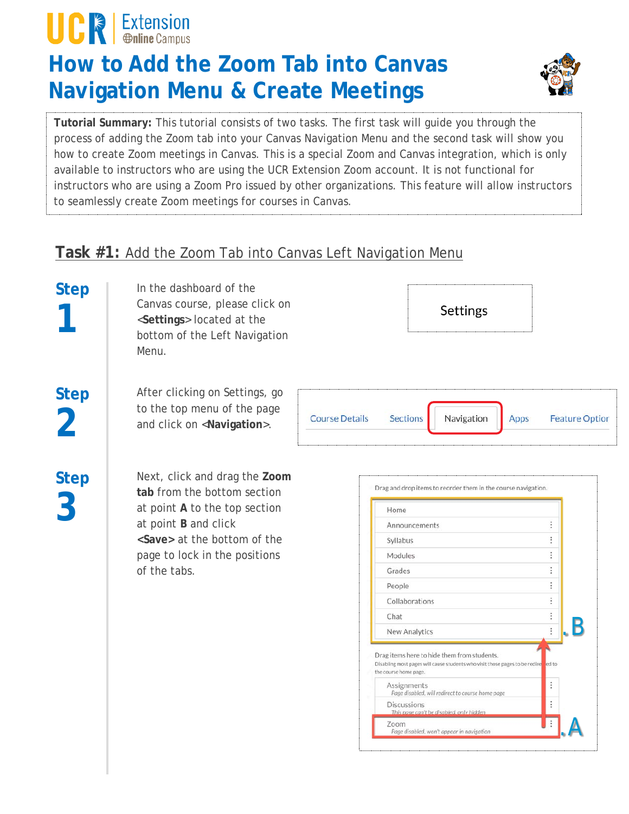# **UCREXtension**

### **How to Add the Zoom Tab into Canvas Navigation Menu & Create Meetings**



**Tutorial Summary:** This tutorial consists of two tasks. The first task will guide you through the process of adding the Zoom tab into your Canvas Navigation Menu and the second task will show you how to create Zoom meetings in Canvas. This is a special Zoom and Canvas integration, which is only available to instructors who are using the UCR Extension Zoom account. It is not functional for instructors who are using a Zoom Pro issued by other organizations. This feature will allow instructors to seamlessly create Zoom meetings for courses in Canvas.

#### **Task #1:** Add the Zoom Tab into Canvas Left Navigation Menu

**Step 1**

In the dashboard of the Canvas course, please click on <**Settings**> located at the bottom of the Left Navigation Menu.



**2 Step 3**

**Step**

After clicking on Settings, go to the top menu of the page and click on <**Navigation**>.

 $\ddot{\ }$ **Course Details Sections** Navigation Apps **Feature Option** 

Next, click and drag the **Zoom tab** from the bottom section at point **A** to the top section at point **B** and click **<Save>** at the bottom of the page to lock in the positions of the tabs.

| Home                                                                                                                                                       |   |
|------------------------------------------------------------------------------------------------------------------------------------------------------------|---|
| Announcements                                                                                                                                              |   |
| Syllabus                                                                                                                                                   |   |
| Modules                                                                                                                                                    |   |
| Grades                                                                                                                                                     |   |
| People                                                                                                                                                     |   |
| Collaborations                                                                                                                                             |   |
| Chat                                                                                                                                                       |   |
| New Analytics                                                                                                                                              |   |
| Drag items here to hide them from students.<br>Disabling most pages will cause students who visit those pages to be redire ded to<br>the course home page. |   |
| Assignments<br>Page disabled, will redirect to course home page                                                                                            |   |
| <b>Discussions</b><br>This page can't be disabled, only hidden                                                                                             | t |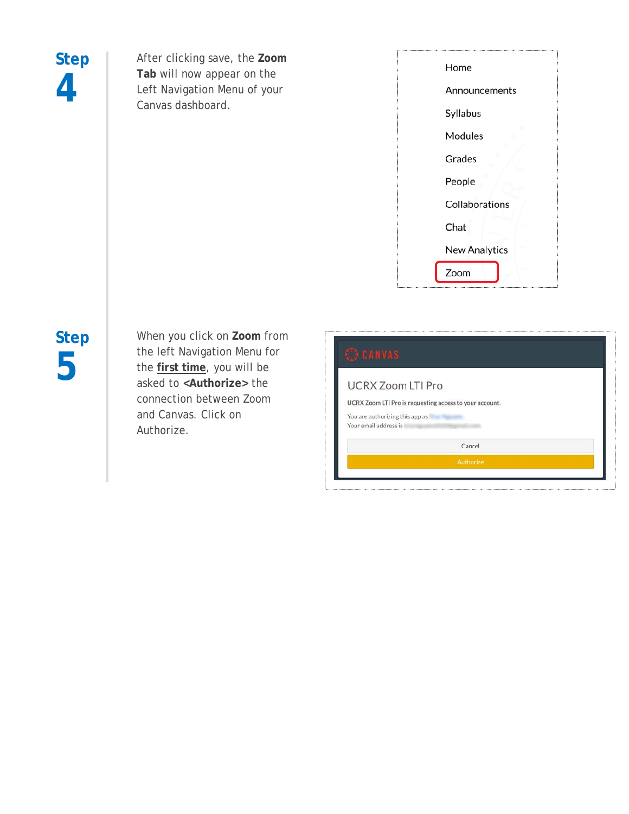## **Step 4**

After clicking save, the **Zoom Tab** will now appear on the Left Navigation Menu of your Canvas dashboard.

| Home                 |
|----------------------|
| Announcements        |
| Syllabus             |
| Modules              |
| Grades               |
| People               |
| Collaborations       |
| Chat                 |
| <b>New Analytics</b> |
| Zoom                 |
|                      |

## **Step 5**

When you click on **Zoom** from the left Navigation Menu for the **first time**, you will be asked to **<Authorize>** the connection between Zoom and Canvas. Click on Authorize.

| <b>UCRX Zoom LTI Pro</b>        |                                                         |  |
|---------------------------------|---------------------------------------------------------|--|
|                                 | UCRX Zoom LTI Pro is requesting access to your account. |  |
| You are authorizing this app as |                                                         |  |
| Your email address is           |                                                         |  |
|                                 | Cancel                                                  |  |
|                                 | Authorize                                               |  |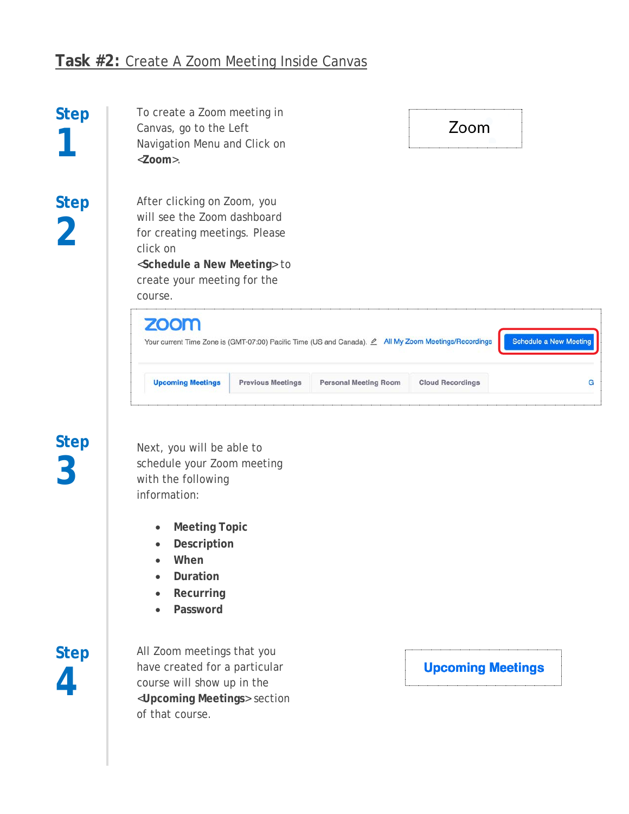#### **Task #2:** Create A Zoom Meeting Inside Canvas

| <b>Step</b>                   | To create a Zoom meeting in<br>Canvas, go to the Left<br>Navigation Menu and Click on<br>$<$ Zoom $>$ .                                                                                                |                          |                              | Zoom                    |   |  |
|-------------------------------|--------------------------------------------------------------------------------------------------------------------------------------------------------------------------------------------------------|--------------------------|------------------------------|-------------------------|---|--|
| <b>Step</b><br>$\overline{2}$ | After clicking on Zoom, you<br>will see the Zoom dashboard<br>for creating meetings. Please<br>click on<br><schedule a="" meeting="" new=""> to<br/>create your meeting for the<br/>course.</schedule> |                          |                              |                         |   |  |
|                               | <b>ZOOM</b><br><b>Schedule a New Meeting</b><br>Your current Time Zone is (GMT-07:00) Pacific Time (US and Canada). $\angle$ All My Zoom Meetings/Recordings                                           |                          |                              |                         |   |  |
|                               | <b>Upcoming Meetings</b>                                                                                                                                                                               | <b>Previous Meetings</b> | <b>Personal Meeting Room</b> | <b>Cloud Recordings</b> | G |  |
|                               |                                                                                                                                                                                                        |                          |                              |                         |   |  |

## **Step 3**

Next, you will be able to schedule your Zoom meeting with the following information:

- **Meeting Topic**
- **Description**
- **When**
- **Duration**
- **Recurring**
- **Password**

**Step 4**

All Zoom meetings that you have created for a particular course will show up in the <**Upcoming Meetings**> section of that course.

**Upcoming Meetings**